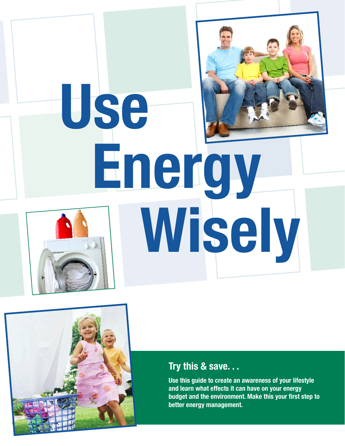# Use Energy Wisely



#### Try this & save. . .

Use this guide to create an awareness of your lifestyle and learn what effects it can have on your energy budget and the environment. Make this your first step to better energy management.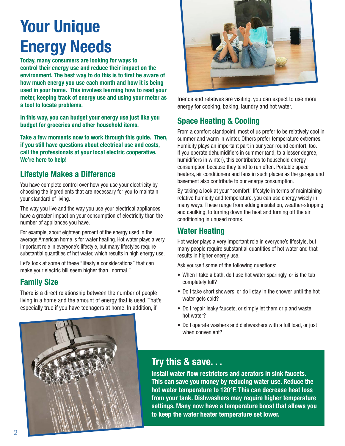# Your Unique Energy Needs

Today, many consumers are looking for ways to control their energy use and reduce their impact on the environment. The best way to do this is to first be aware of how much energy you use each month and how it is being used in your home. This involves learning how to read your meter, keeping track of energy use and using your meter as a tool to locate problems.

In this way, you can budget your energy use just like you budget for groceries and other household items.

Take a few moments now to work through this guide. Then, if you still have questions about electrical use and costs, call the professionals at your local electric cooperative. We're here to help!

#### Lifestyle Makes a Difference

You have complete control over how you use your electricity by choosing the ingredients that are necessary for you to maintain your standard of living.

The way you live and the way you use your electrical appliances have a greater impact on your consumption of electricity than the number of appliances you have.

For example, about eighteen percent of the energy used in the average American home is for water heating. Hot water plays a very important role in everyone's lifestyle, but many lifestyles require substantial quantities of hot water, which results in high energy use.

Let's look at some of these "lifestyle considerations" that can make your electric bill seem higher than "normal."

#### Family Size

There is a direct relationship between the number of people living in a home and the amount of energy that is used. That's especially true if you have teenagers at home. In addition, if



friends and relatives are visiting, you can expect to use more energy for cooking, baking, laundry and hot water.

#### Space Heating & Cooling

From a comfort standpoint, most of us prefer to be relatively cool in summer and warm in winter. Others prefer temperature extremes. Humidity plays an important part in our year-round comfort, too. If you operate dehumidifiers in summer (and, to a lesser degree, humidifiers in winter), this contributes to household energy consumption because they tend to run often. Portable space heaters, air conditioners and fans in such places as the garage and basement also contribute to our energy consumption.

By taking a look at your "comfort" lifestyle in terms of maintaining relative humidity and temperature, you can use energy wisely in many ways. These range from adding insulation, weather-stripping and caulking, to turning down the heat and turning off the air conditioning in unused rooms.

#### Water Heating

Hot water plays a very important role in everyone's lifestyle, but many people require substantial quantities of hot water and that results in higher energy use.

Ask yourself some of the following questions:

- When I take a bath, do I use hot water sparingly, or is the tub completely full?
- Do I take short showers, or do I stay in the shower until the hot water gets cold?
- Do I repair leaky faucets, or simply let them drip and waste hot water?
- Do I operate washers and dishwashers with a full load, or just when convenient?



#### Try this & save. . .

Install water flow restrictors and aerators in sink faucets. This can save you money by reducing water use. Reduce the hot water temperature to 120°F. This can decrease heat loss from your tank. Dishwashers may require higher temperature settings. Many now have a temperature boost that allows you to keep the water heater temperature set lower.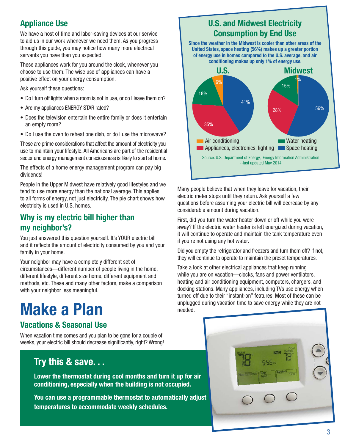#### Appliance Use

We have a host of time and labor-saving devices at our service to aid us in our work whenever we need them. As you progress through this guide, you may notice how many more electrical servants you have than you expected.

These appliances work for you around the clock, whenever you choose to use them. The wise use of appliances can have a positive effect on your energy consumption.

Ask yourself these questions:

- Do I turn off lights when a room is not in use, or do I leave them on?
- Are my appliances ENERGY STAR rated?
- Does the television entertain the entire family or does it entertain an empty room?
- Do I use the oven to reheat one dish, or do I use the microwave?

These are prime considerations that affect the amount of electricity you use to maintain your lifestyle. All Americans are part of the residential sector and energy management consciousness is likely to start at home.

The effects of a home energy management program can pay big dividends!

People in the Upper Midwest have relatively good lifestyles and we tend to use more energy than the national average. This applies to all forms of energy, not just electricity. The pie chart shows how electricity is used in U.S. homes.

#### Why is my electric bill higher than my neighbor's?

You just answered this question yourself. It's YOUR electric bill and it reflects the amount of electricity consumed by you and your family in your home.

Your neighbor may have a completely different set of circumstances—different number of people living in the home, different lifestyle, different size home, different equipment and methods, etc. These and many other factors, make a comparison with your neighbor less meaningful.

## Make a Plan

#### Vacations & Seasonal Use

When vacation time comes and you plan to be gone for a couple of weeks, your electric bill should decrease significantly, right? Wrong!

#### Try this & save. . .

Lower the thermostat during cool months and turn it up for air conditioning, especially when the building is not occupied.

You can use a programmable thermostat to automatically adjust temperatures to accommodate weekly schedules.



Many people believe that when they leave for vacation, their electric meter stops until they return. Ask yourself a few questions before assuming your electric bill will decrease by any considerable amount during vacation.

First, did you turn the water heater down or off while you were away? If the electric water heater is left energized during vacation, it will continue to operate and maintain the tank temperature even if you're not using any hot water.

Did you empty the refrigerator and freezers and turn them off? If not, they will continue to operate to maintain the preset temperatures.

Take a look at other electrical appliances that keep running while you are on vacation—clocks, fans and power ventilators, heating and air conditioning equipment, computers, chargers, and docking stations. Many appliances, including TVs use energy when turned off due to their "instant-on" features. Most of these can be unplugged during vacation time to save energy while they are not needed.

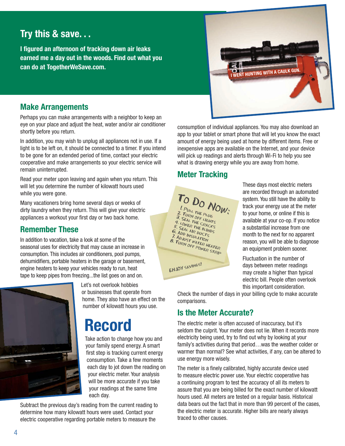#### Try this & save. . .

I figured an afternoon of tracking down air leaks earned me a day out in the woods. Find out what you can do at TogetherWeSave.com.



#### Make Arrangements

Perhaps you can make arrangements with a neighbor to keep an eye on your place and adjust the heat, water and/or air conditioner shortly before you return.

In addition, you may wish to unplug all appliances not in use. If a light is to be left on, it should be connected to a timer. If you intend to be gone for an extended period of time, contact your electric cooperative and make arrangements so your electric service will remain uninterrupted.

Read your meter upon leaving and again when you return. This will let you determine the number of kilowatt hours used while you were gone.

Many vacationers bring home several days or weeks of dirty laundry when they return. This will give your electric appliances a workout your first day or two back home.

#### Remember These

In addition to vacation, take a look at some of the seasonal uses for electricity that may cause an increase in consumption. This includes air conditioners, pool pumps, dehumidifiers, portable heaters in the garage or basement, engine heaters to keep your vehicles ready to run, heat tape to keep pipes from freezing...the list goes on and on.



Let's not overlook hobbies or businesses that operate from home. They also have an effect on the number of kilowatt hours you use.

## Record

Take action to change how you and your family spend energy. A smart first step is tracking current energy consumption. Take a few moments each day to jot down the reading on your electric meter. Your analysis will be more accurate if you take your readings at the same time each day.

Subtract the previous day's reading from the current reading to determine how many kilowatt hours were used. Contact your electric cooperative regarding portable meters to measure the

consumption of individual appliances. You may also download an app to your tablet or smart phone that will let you know the exact and phone that will let you know the exact amount of energy being used at home by different items. Free or inexpensive apps are available on the Internet, and your device will pick up readings and alerts through Wi-Fi to help you see what is drawing energy while you are away from home.

#### Meter Tracking



These days most electric meters are recorded through an automated system. You still have the ability to track your energy use at the meter to your home, or online if this is available at your co-op. If you notice a substantial increase from one month to the next for no apparent reason, you will be able to diagnose an equipment problem sooner.

Fluctuation in the number of days between meter readings may create a higher than typical electric bill. People often overlook this important consideration.

Check the number of days in your billing cycle to make accurate comparisons.

#### Is the Meter Accurate?

The electric meter is often accused of inaccuracy, but it's seldom the culprit. Your meter does not lie. When it records more electricity being used, try to find out why by looking at your family's activities during that period…was the weather colder or warmer than normal? See what activities, if any, can be altered to use energy more wisely.

The meter is a finely calibrated, highly accurate device used to measure electric power use. Your electric cooperative has a continuing program to test the accuracy of all its meters to assure that you are being billed for the exact number of kilowatt hours used. All meters are tested on a regular basis. Historical data bears out the fact that in more than 99 percent of the cases, the electric meter is accurate. Higher bills are nearly always traced to other causes.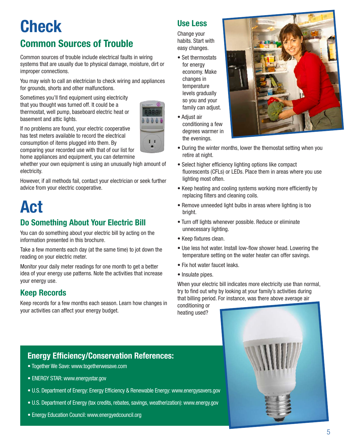### **Check** Common Sources of Trouble

Common sources of trouble include electrical faults in wiring systems that are usually due to physical damage, moisture, dirt or improper connections.

You may wish to call an electrician to check wiring and appliances for grounds, shorts and other malfunctions.

Sometimes you'll find equipment using electricity that you thought was turned off. It could be a thermostat, well pump, baseboard electric heat or basement and attic lights.



If no problems are found, your electric cooperative has test meters available to record the electrical consumption of items plugged into them. By comparing your recorded use with that of our list for

home appliances and equipment, you can determine

whether your own equipment is using an unusually high amount of electricity.

However, if all methods fail, contact your electrician or seek further advice from your electric cooperative.

# Act

#### Do Something About Your Electric Bill

You can do something about your electric bill by acting on the information presented in this brochure.

Take a few moments each day (at the same time) to jot down the reading on your electric meter.

Monitor your daily meter readings for one month to get a better idea of your energy use patterns. Note the activities that increase your energy use.

#### Keep Records

Keep records for a few months each season. Learn how changes in your activities can affect your energy budget.

#### Use Less

Change your habits. Start with easy changes.

- Set thermostats for energy economy. Make changes in temperature levels gradually so you and your family can adjust.
- Adjust air conditioning a few degrees warmer in the evenings.



- During the winter months, lower the themostat setting when you retire at night.
- Select higher efficiency lighting options like compact fluorescents (CFLs) or LEDs. Place them in areas where you use lighting most often.
- Keep heating and cooling systems working more efficiently by replacing filters and cleaning coils.
- Remove unneeded light bulbs in areas where lighting is too bright.
- Turn off lights whenever possible. Reduce or eliminate unnecessary lighting.
- Keep fixtures clean.
- Use less hot water. Install low-flow shower head. Lowering the temperature setting on the water heater can offer savings.
- Fix hot water faucet leaks.
- Insulate pipes.

When your electric bill indicates more electricity use than normal, try to find out why by looking at your family's activities during that billing period. For instance, was there above average air conditioning or

heating used?



#### Energy Efficiency/Conservation References:

- Together We Save: www.togetherwesave.com
- ENERGY STAR: www.energystar.gov
- U.S. Department of Energy: Energy Efficiency & Renewable Energy: www.energysavers.gov
- U.S. Department of Energy (tax credits, rebates, savings, weatherization): www.energy.gov
- Energy Education Council: www.energyedcouncil.org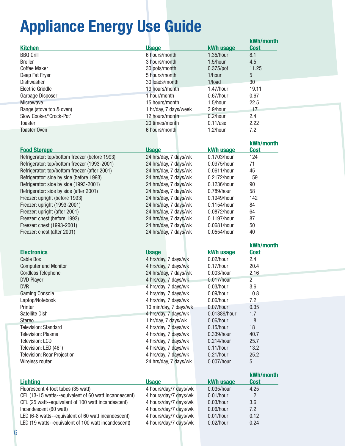# Appliance Energy Use Guide

|                                                       |                       |                  | kWh/month      |
|-------------------------------------------------------|-----------------------|------------------|----------------|
| <b>Kitchen</b>                                        | <b>Usage</b>          | <b>kWh usage</b> | <b>Cost</b>    |
| <b>BBQ Grill</b>                                      | 6 hours/month         | 1.35/hour        | 8.1            |
| <b>Broiler</b>                                        | 3 hours/month         | 1.5/hour         | 4.5            |
| <b>Coffee Maker</b>                                   | 30 pots/month         | $0.375$ /pot     | 11.25          |
| Deep Fat Fryer                                        | 5 hours/month         | 1/hour           | 5              |
| Dishwasher                                            | 30 loads/month        | 1/load           | 30             |
| <b>Electric Griddle</b>                               | 13 hours/month        | 1.47/hour        | 19.11          |
|                                                       | 1 hour/month          | $0.67/h$ our     | 0.67           |
| Garbage Disposer                                      |                       |                  |                |
| <b>Microwave</b>                                      | 15 hours/month        | 1.5/hour         | 22.5           |
| Range (stove top & oven)                              | 1 hr/day, 7 days/week | 3.9/hour         | 117            |
| Slow Cooker/'Crock-Pot'                               | 12 hours/month        | 0.2/hour         | 2.4            |
| <b>Toaster</b>                                        | 20 times/month        | $0.11/$ use      | 2.22           |
| <b>Toaster Oven</b>                                   | 6 hours/month         | 1.2/hour         | 7.2            |
|                                                       |                       |                  |                |
|                                                       |                       |                  | kWh/month      |
| <b>Food Storage</b>                                   | <b>Usage</b>          | kWh usage        | <b>Cost</b>    |
| Refrigerator: top/bottom freezer (before 1993)        | 24 hrs/day, 7 days/wk | 0.1703/hour      | 124            |
| Refrigerator: top/bottom freezer (1993-2001)          | 24 hrs/day, 7 days/wk | 0.0975/hour      | 71             |
| Refrigerator: top/bottom freezer (after 2001)         | 24 hrs/day, 7 days/wk | 0.0611/hour      | 45             |
| Refrigerator: side by side (before 1993)              | 24 hrs/day, 7 days/wk | 0.2172/hour      | 159            |
| Refrigerator: side by side (1993-2001)                | 24 hrs/day, 7 days/wk | 0.1236/hour      | 90             |
| Refrigerator: side by side (after 2001)               | 24 hrs/day, 7 days/wk | 0.789/hour       | 58             |
| Freezer: upright (before 1993)                        | 24 hrs/day, 7 days/wk | 0.1949/hour      | 142            |
|                                                       | 24 hrs/day, 7 days/wk | 0.1154/hour      | 84             |
| Freezer: upright (1993-2001)                          |                       |                  |                |
| Freezer: upright (after 2001)                         | 24 hrs/day, 7 days/wk | 0.0872/hour      | 64             |
| Freezer: chest (before 1993)                          | 24 hrs/day, 7 days/wk | 0.1197/hour      | 87             |
| Freezer: chest (1993-2001)                            | 24 hrs/day, 7 days/wk | 0.0681/hour      | 50             |
| Freezer: chest (after 2001)                           | 24 hrs/day, 7 days/wk | 0.0554/hour      | 40             |
|                                                       |                       |                  |                |
|                                                       |                       |                  |                |
|                                                       |                       |                  | kWh/month      |
| <b>Electronics</b>                                    | <b>Usage</b>          | <b>kWh usage</b> | <b>Cost</b>    |
| <b>Cable Box</b>                                      | 4 hrs/day, 7 days/wk  | $0.02/h$ our     | 2.4            |
| <b>Computer and Monitor</b>                           | 4 hrs/day, 7 days/wk  | 0.17/hour        | 20.4           |
| <b>Cordless Telephone</b>                             | 24 hrs/day, 7 days/wk | 0.003/hour       | 2.16           |
| <b>DVD Player</b>                                     | 4 hrs/day, 7 days/wk  | 0.017/hour       | $\overline{c}$ |
| <b>DVR</b>                                            | 4 hrs/day, 7 days/wk  | $0.03/h$ our     | 3.6            |
|                                                       |                       |                  |                |
| <b>Gaming Console</b>                                 | 4 hrs/day, 7 days/wk  | 0.09/hour        | 10.8           |
| Laptop/Notebook                                       | 4 hrs/day, 7 days/wk  | 0.06/hour        | 7.2            |
| Printer                                               | 10 min/day, 7 days/wk | 0.07/hour        | 0.35           |
| <b>Satellite Dish</b>                                 | 4 hrs/day, 7 days/wk  | 0.01389/hour     | 1.7            |
| <b>Stereo</b>                                         | 1 hr/day, 7 days/wk   | $0.06/h$ our     | 1.8            |
| <b>Television: Standard</b>                           | 4 hrs/day, 7 days/wk  | 0.15/hour        | 18             |
| Television: Plasma                                    | 4 hrs/day, 7 days/wk  | 0.339/hour       | 40.7           |
| Television: LCD                                       | 4 hrs/day, 7 days/wk  | 0.214/hour       | 25.7           |
| Television: LED (46")                                 | 4 hrs/day, 7 days/wk  | $0.11/h$ our     | 13.2           |
| <b>Television: Rear Projection</b>                    | 4 hrs/day, 7 days/wk  | 0.21/hour        | 25.2           |
| Wireless router                                       | 24 hrs/day, 7 days/wk | 0.007/hour       | 5              |
|                                                       |                       |                  |                |
|                                                       |                       |                  | kWh/month      |
| <b>Lighting</b>                                       | <b>Usage</b>          | <b>kWh usage</b> | <b>Cost</b>    |
| Fluorescent 4 foot tubes (35 watt)                    | 4 hours/day/7 days/wk | 0.035/hour       | 4.25           |
| CFL (13-15 watts--equivalent of 60 watt incandescent) | 4 hours/day/7 days/wk | $0.01/h$ our     | 1.2            |
| CFL (25 watt--equivalent of 100 watt incandescent)    | 4 hours/day/7 days/wk | $0.03/h$ our     | 3.6            |
| Incandescent (60 watt)                                | 4 hours/day/7 days/wk | $0.06/h$ our     | 7.2            |
| LED (6-8 watts--equivalent of 60 watt incandescent)   | 4 hours/day/7 days/wk | $0.01/h$ our     | 0.12           |
| LED (19 watts--equivalent of 100 watt incandescent)   | 4 hours/day/7 days/wk | $0.02/h$ our     | 0.24           |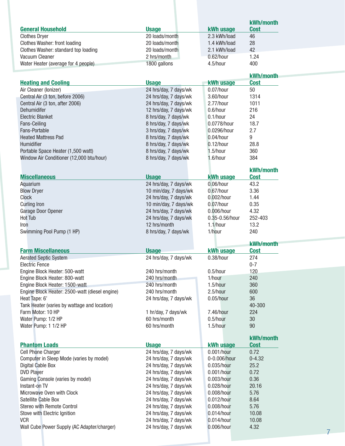|                                                       |                                                |                            | kWh/month      |  |
|-------------------------------------------------------|------------------------------------------------|----------------------------|----------------|--|
| <b>General Household</b>                              | <b>Usage</b>                                   | <b>kWh usage</b>           | <b>Cost</b>    |  |
| <b>Clothes Dryer</b>                                  | 20 loads/month                                 | 2.3 kWh/load               | 46             |  |
| <b>Clothes Washer: front loading</b>                  | 20 loads/month                                 | 1.4 kWh/load               | 28             |  |
| Clothes Washer: standard top loading                  | 20 loads/month                                 | 2.1 kWh/load               | 42             |  |
| Vacuum Cleaner                                        | 2 hrs/month                                    | 0.62/hour                  | 1.24           |  |
| Water Heater (average for 4 people)                   | 1800 gallons                                   | 4.5/hour                   | 400            |  |
|                                                       |                                                |                            | kWh/month      |  |
| <b>Heating and Cooling</b>                            | <b>Usage</b>                                   | <b>kWh usage</b>           | <b>Cost</b>    |  |
| Air Cleaner (Ionizer)                                 | 24 hrs/day, 7 days/wk                          | 0.07/hour                  | 50             |  |
| Central Air (3 ton, before 2006)                      | 24 hrs/day, 7 days/wk                          | 3.60/hour                  | 1314           |  |
| Central Air (3 ton, after 2006)                       | 24 hrs/day, 7 days/wk                          | 2.77/hour                  | 1011           |  |
| Dehumidifer                                           | 12 hrs/day, 7 days/wk                          | 0.6/hour                   | 216            |  |
| <b>Electric Blanket</b>                               | 8 hrs/day, 7 days/wk                           | $0.1/h$ our                | 24             |  |
| Fans-Ceiling<br>Fans-Portable                         | 8 hrs/day, 7 days/wk                           | 0.0778/hour<br>0.0296/hour | 18.7<br>2.7    |  |
| <b>Heated Mattress Pad</b>                            | 3 hrs/day, 7 days/wk<br>8 hrs/day, 7 days/wk   | $0.04/h$ our               | 9              |  |
| Humidifier                                            | 8 hrs/day, 7 days/wk                           | $0.12/h$ our               | 28.8           |  |
| Portable Space Heater (1,500 watt)                    | 8 hrs/day, 7 days/wk                           | 1.5/hour                   | 360            |  |
| Window Air Conditioner (12,000 btu/hour)              | 8 hrs/day, 7 days/wk                           | 1.6/hour                   | 384            |  |
|                                                       |                                                |                            |                |  |
|                                                       |                                                |                            | kWh/month      |  |
| <b>Miscellaneous</b>                                  | <b>Usage</b>                                   | kWh usage                  | <b>Cost</b>    |  |
| Aquarium                                              | 24 hrs/day, 7 days/wk                          | $0.06/h$ our               | 43.2           |  |
| <b>Blow Dryer</b>                                     | 10 min/day, 7 days/wk                          | $0.67/h$ our               | 3.36           |  |
| <b>Clock</b><br><b>Curling Iron</b>                   | 24 hrs/day, 7 days/wk<br>10 min/day, 7 days/wk | 0.002/hour<br>0.07/hour    | 1.44<br>0.35   |  |
| Garage Door Opener                                    | 24 hrs/day, 7 days/wk                          | 0.006/hour                 | 4.32           |  |
| Hot Tub                                               | 24 hrs/day, 7 days/wk                          | 0.35-0.56/hour             | 252-403        |  |
| <b>Iron</b>                                           | 12 hrs/month                                   | 1.1/hour                   | 13.2           |  |
|                                                       |                                                |                            |                |  |
| Swimming Pool Pump (1 HP)                             | 8 hrs/day, 7 days/wk                           | 1/hour                     | 240            |  |
|                                                       |                                                |                            |                |  |
|                                                       |                                                |                            | kWh/month      |  |
| <b>Farm Miscellaneous</b>                             | <b>Usage</b>                                   | <b>kWh usage</b>           | <b>Cost</b>    |  |
| <b>Aerated Septic System</b><br><b>Electric Fence</b> | 24 hrs/day, 7 days/wk                          | $0.38/h$ our               | 274<br>$0 - 7$ |  |
| Engine Block Heater: 500-watt                         | 240 hrs/month                                  | 0.5/hour                   | 120            |  |
| Engine Block Heater: 800-watt                         | 240 hrs/month                                  | 1/hour                     | 240            |  |
| Engine Block Heater: 1500-watt                        | 240 hrs/month                                  | 1.5/hour                   | 360            |  |
| Engine Block Heater: 2500-watt (diesel engine)        | 240 hrs/month                                  | 2.5/hour                   | 600            |  |
| Heat Tape: 6'                                         | 24 hrs/day, 7 days/wk                          | 0.05/hour                  | 36             |  |
| Tank Heater (varies by wattage and location)          |                                                |                            | 40-300         |  |
| Farm Motor: 10 HP                                     | 1 hr/day, 7 days/wk                            | 7.46/hour                  | 224            |  |
| Water Pump: 1/2 HP                                    | 60 hrs/month                                   | 0.5/hour                   | 30             |  |
| Water Pump: 1 1/2 HP                                  | 60 hrs/month                                   | 1.5/hour                   | 90             |  |
|                                                       |                                                |                            | kWh/month      |  |
| <b>Phantom Loads</b>                                  | <b>Usage</b>                                   | kWh usage                  | <b>Cost</b>    |  |
| Cell Phone Charger                                    | 24 hrs/day, 7 days/wk                          | $0.001/h$ our              | 0.72           |  |
| Computer in Sleep Mode (varies by model)              | 24 hrs/day, 7 days/wk                          | 0-0.006/hour               | $0 - 4.32$     |  |
| Digital Cable Box                                     | 24 hrs/day, 7 days/wk                          | 0.035/hour                 | 25.2           |  |
| <b>DVD Player</b>                                     | 24 hrs/day, 7 days/wk                          | 0.001/hour                 | 0.72           |  |
| Gaming Console (varies by model)                      | 24 hrs/day, 7 days/wk                          | 0.003/hour                 | 0.36           |  |
| Instant-on TV                                         | 24 hrs/day, 7 days/wk                          | 0.028/hour                 | 20.16          |  |
| Microwave Oven with Clock                             | 24 hrs/day, 7 days/wk                          | 0.008/hour                 | 5.76           |  |
| Satellite Cable Box<br>Stereo with Remote Control     | 24 hrs/day, 7 days/wk                          | 0.012/hour<br>0.008/hour   | 8.64<br>5.76   |  |
| Stove with Electric Ignition                          | 24 hrs/day, 7 days/wk<br>24 hrs/day, 7 days/wk | 0.014/hour                 | 10.08          |  |
| <b>VCR</b>                                            | 24 hrs/day, 7 days/wk                          | 0.014/hour                 | 10.08          |  |
| Wall Cube Power Supply (AC Adapter/charger)           | 24 hrs/day, 7 days/wk                          | 0.006/hour                 | 4.32           |  |